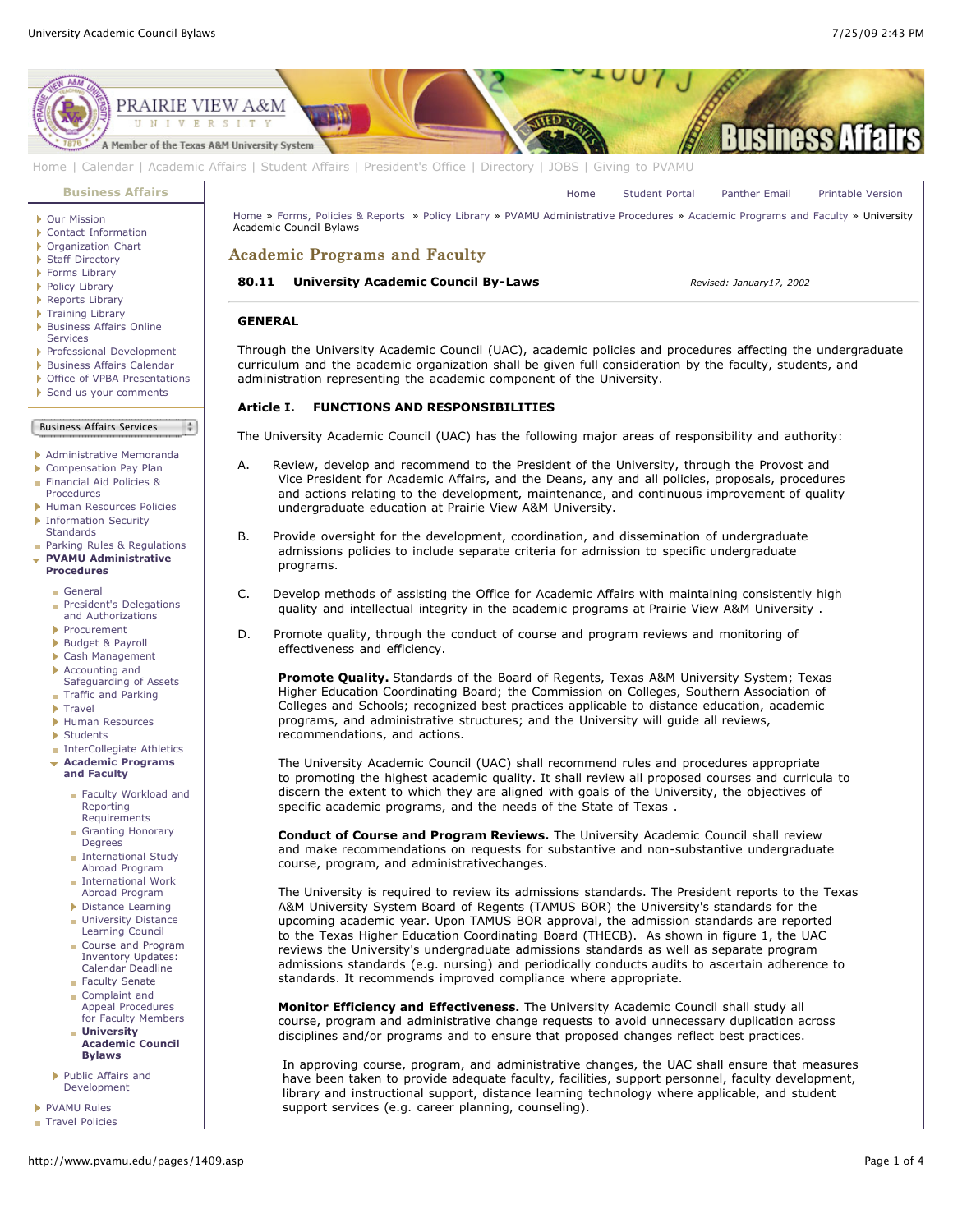

[Home](http://www.pvamu.edu/pages/1.asp) | [Calendar](http://www.pvamu.edu/pages/222.asp) | [Academic Affairs](http://www.pvamu.edu/pages/116.asp) | [Student Affairs](http://www.pvamu.edu/pages/1441.asp) | [President's Office](http://www.pvamu.edu/pages/117.asp) | [Directory](http://www.pvamu.edu/pages/225.asp) | [JOBS](http://www.pvamu.edu/pages/118.asp) | [Giving to PVAMU](http://www.pvamu.edu/giving)

#### **[Business Affairs](http://www.pvamu.edu/pages/102.asp)**

- [Our Mission](http://www.pvamu.edu/pages/3012.asp)
- [Contact Information](http://www.pvamu.edu/pages/527.asp)
- ▶ [Organization Chart](http://www.pvamu.edu/pages/528.asp)
- ▶ [Staff Directory](http://www.pvamu.edu/pages/529.asp)
- ▶ Forms Librarv
- [Policy Library](http://www.pvamu.edu/pages/532.asp)
- ▶ [Reports Library](http://www.pvamu.edu/pages/533.asp)
- ▶ [Training Library](http://www.pvamu.edu/pages/4512.asp)
- **[Business Affairs Online](http://www.pvamu.edu/pages/5583.asp)** Services
- [Professional Development](http://www.pvamu.edu/pages/4966.asp)
- [Business Affairs Calendar](http://www.pvamu.edu/pages/534.asp)
- ▶ [Office of VPBA Presentations](http://www.pvamu.edu/pages/2940.asp)
- [Send us your comments](http://www.pvamu.edu/pages/535.asp)

### Business Affairs Services

÷

- 
- [Administrative Memoranda](http://www.pvamu.edu/pages/1230.asp) [Compensation Pay Plan](http://www.pvamu.edu/pages/2078.asp)
- [Financial Aid Policies &](http://www.pvamu.edu/pages/2636.asp)
- Procedures
- [Human Resources Policies](http://www.pvamu.edu/pages/679.asp)
- **[Information Security](http://www.pvamu.edu/pages/2492.asp) Standards**

#### **[Parking Rules & Regulations](http://www.pvamu.edu/pages/1233.asp) [PVAMU Administrative](http://www.pvamu.edu/pages/1234.asp) Procedures**

- [General](http://www.pvamu.edu/pages/1235.asp)
- [President's Delegations](http://www.pvamu.edu/pages/1236.asp) and Authorizations
- [Procurement](http://www.pvamu.edu/pages/1239.asp)
- [Budget & Payroll](http://www.pvamu.edu/pages/1251.asp)
- [Cash Management](http://www.pvamu.edu/pages/1328.asp)
- Accounting and
- [Safeguarding of Assets](http://www.pvamu.edu/pages/1335.asp) **[Traffic and Parking](http://www.pvamu.edu/pages/1348.asp)**
- 
- **[Travel](http://www.pvamu.edu/pages/1350.asp)**
- [Human Resources](http://www.pvamu.edu/pages/1358.asp)
- [Students](http://www.pvamu.edu/pages/1374.asp)
- **[InterCollegiate Athletics](http://www.pvamu.edu/pages/1390.asp)**
- **[Academic Programs](http://www.pvamu.edu/pages/1391.asp) and Faculty**
	- [Faculty Workload and](http://www.pvamu.edu/pages/1392.asp) Reporting Requirements
	- [Granting Honorary](http://www.pvamu.edu/pages/1393.asp) Degrees
	- [International Study](http://www.pvamu.edu/pages/1394.asp) Abroad Program
	- **[International Work](http://www.pvamu.edu/pages/1395.asp)** Abroad Program
	- [Distance Learning](http://www.pvamu.edu/pages/1396.asp) **[University Distance](http://www.pvamu.edu/pages/1405.asp)**
	- Learning Council [Course and Program](http://www.pvamu.edu/pages/1406.asp) Inventory Updates: Calendar Deadline
	- [Faculty Senate](http://www.pvamu.edu/pages/1407.asp) Complaint and Appeal Procedures [for Faculty Members](http://www.pvamu.edu/pages/1408.asp)
	- **University [Academic Council](http://www.pvamu.edu/pages/1409.asp) Bylaws**
- [Public Affairs and](http://www.pvamu.edu/pages/1410.asp) Development
- **[PVAMU Rules](http://www.pvamu.edu/pages/1412.asp)**

[Travel Policies](http://www.pvamu.edu/pages/1414.asp)

http://www.pvamu.edu/pages/1409.asp Page 1 of 4

[Home](http://www.pvamu.edu/pages/1.asp) » [Forms, Policies & Reports](http://www.pvamu.edu/pages/5302.asp) » [Policy Library](http://www.pvamu.edu/pages/532.asp) » [PVAMU Administrative Procedures](http://www.pvamu.edu/pages/1234.asp) » [Academic Programs and Faculty](http://www.pvamu.edu/pages/1391.asp) » University Academic Council Bylaws

## Academic Programs and Faculty

#### **80.11 University Academic Council By-Laws** *Revised: January17, 2002*

[Home](http://www.pvamu.edu/pages/1.asp) [Student Portal](http://panthertracks.pvamu.edu/) [Panther Email](http://www.pvamu.edu/pages/1740.asp) [Printable Version](http://www.pvamu.edu/print/1409.asp)

# **GENERAL**

Through the University Academic Council (UAC), academic policies and procedures affecting the undergraduate curriculum and the academic organization shall be given full consideration by the faculty, students, and administration representing the academic component of the University.

#### **Article I. FUNCTIONS AND RESPONSIBILITIES**

The University Academic Council (UAC) has the following major areas of responsibility and authority:

- A. Review, develop and recommend to the President of the University, through the Provost and Vice President for Academic Affairs, and the Deans, any and all policies, proposals, procedures and actions relating to the development, maintenance, and continuous improvement of quality undergraduate education at Prairie View A&M University.
- B. Provide oversight for the development, coordination, and dissemination of undergraduate admissions policies to include separate criteria for admission to specific undergraduate programs.
- C. Develop methods of assisting the Office for Academic Affairs with maintaining consistently high quality and intellectual integrity in the academic programs at Prairie View A&M University .
- D. Promote quality, through the conduct of course and program reviews and monitoring of effectiveness and efficiency.

 **Promote Quality.** Standards of the Board of Regents, Texas A&M University System; Texas Higher Education Coordinating Board; the Commission on Colleges, Southern Association of Colleges and Schools; recognized best practices applicable to distance education, academic programs, and administrative structures; and the University will guide all reviews, recommendations, and actions.

 The University Academic Council (UAC) shall recommend rules and procedures appropriate to promoting the highest academic quality. It shall review all proposed courses and curricula to discern the extent to which they are aligned with goals of the University, the objectives of specific academic programs, and the needs of the State of Texas .

 **Conduct of Course and Program Reviews.** The University Academic Council shall review and make recommendations on requests for substantive and non-substantive undergraduate course, program, and administrativechanges.

 The University is required to review its admissions standards. The President reports to the Texas A&M University System Board of Regents (TAMUS BOR) the University's standards for the upcoming academic year. Upon TAMUS BOR approval, the admission standards are reported to the Texas Higher Education Coordinating Board (THECB). As shown in figure 1, the UAC reviews the University's undergraduate admissions standards as well as separate program admissions standards (e.g. nursing) and periodically conducts audits to ascertain adherence to standards. It recommends improved compliance where appropriate.

 **Monitor Efficiency and Effectiveness.** The University Academic Council shall study all course, program and administrative change requests to avoid unnecessary duplication across disciplines and/or programs and to ensure that proposed changes reflect best practices.

 In approving course, program, and administrative changes, the UAC shall ensure that measures have been taken to provide adequate faculty, facilities, support personnel, faculty development, library and instructional support, distance learning technology where applicable, and student support services (e.g. career planning, counseling).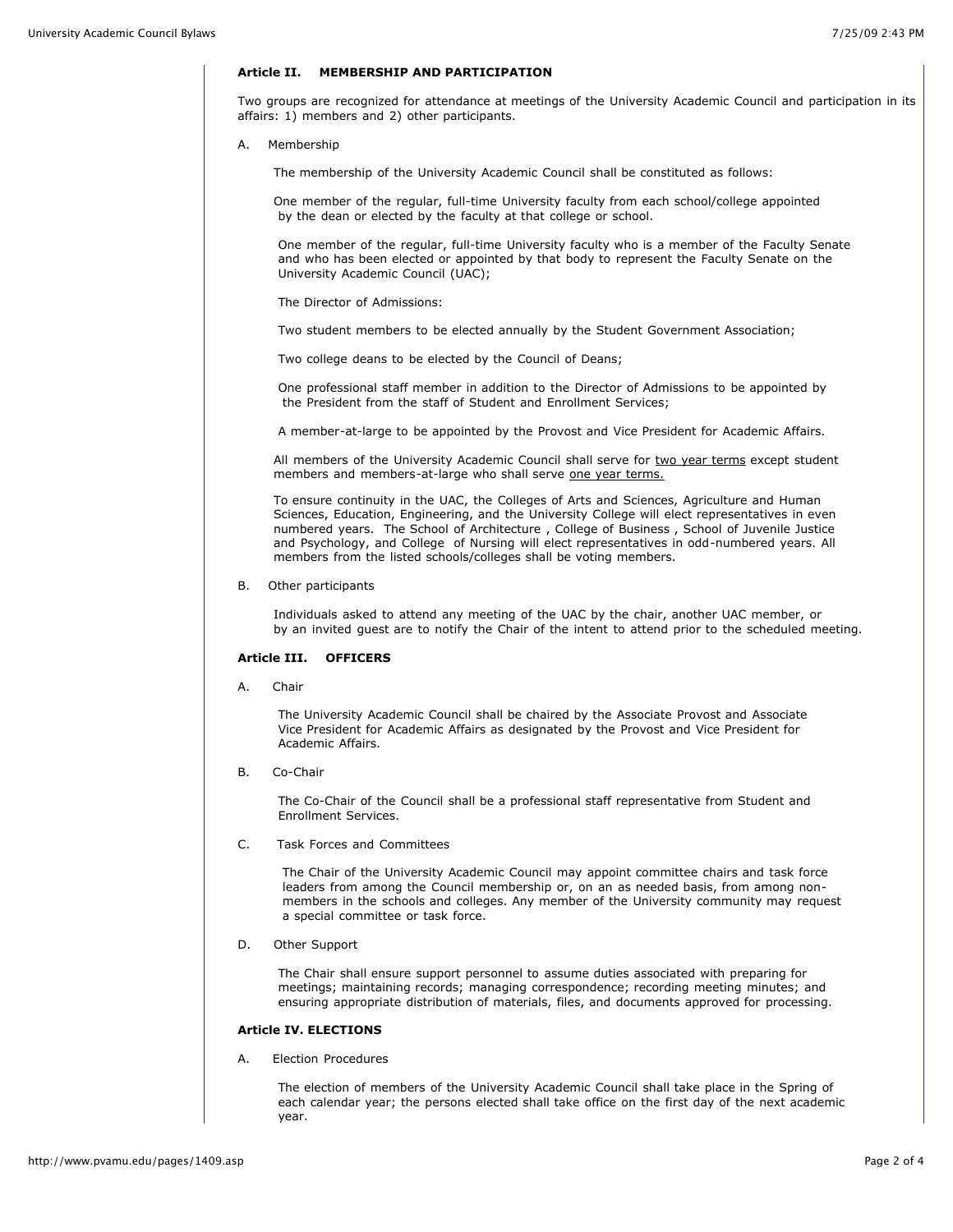#### **Article II. MEMBERSHIP AND PARTICIPATION**

Two groups are recognized for attendance at meetings of the University Academic Council and participation in its affairs: 1) members and 2) other participants.

A. Membership

The membership of the University Academic Council shall be constituted as follows:

 One member of the regular, full-time University faculty from each school/college appointed by the dean or elected by the faculty at that college or school.

 One member of the regular, full-time University faculty who is a member of the Faculty Senate and who has been elected or appointed by that body to represent the Faculty Senate on the University Academic Council (UAC);

The Director of Admissions:

Two student members to be elected annually by the Student Government Association;

Two college deans to be elected by the Council of Deans;

 One professional staff member in addition to the Director of Admissions to be appointed by the President from the staff of Student and Enrollment Services;

A member-at-large to be appointed by the Provost and Vice President for Academic Affairs.

All members of the University Academic Council shall serve for two year terms except student members and members-at-large who shall serve one year terms.

 To ensure continuity in the UAC, the Colleges of Arts and Sciences, Agriculture and Human Sciences, Education, Engineering, and the University College will elect representatives in even numbered years. The School of Architecture , College of Business , School of Juvenile Justice and Psychology, and College of Nursing will elect representatives in odd-numbered years. All members from the listed schools/colleges shall be voting members.

B. Other participants

 Individuals asked to attend any meeting of the UAC by the chair, another UAC member, or by an invited guest are to notify the Chair of the intent to attend prior to the scheduled meeting.

### **Article III. OFFICERS**

A. Chair

 The University Academic Council shall be chaired by the Associate Provost and Associate Vice President for Academic Affairs as designated by the Provost and Vice President for Academic Affairs.

B. Co-Chair

 The Co-Chair of the Council shall be a professional staff representative from Student and Enrollment Services.

C. Task Forces and Committees

 The Chair of the University Academic Council may appoint committee chairs and task force leaders from among the Council membership or, on an as needed basis, from among non members in the schools and colleges. Any member of the University community may request a special committee or task force.

D. Other Support

 The Chair shall ensure support personnel to assume duties associated with preparing for meetings; maintaining records; managing correspondence; recording meeting minutes; and ensuring appropriate distribution of materials, files, and documents approved for processing.

### **Article IV. ELECTIONS**

A. Election Procedures

 The election of members of the University Academic Council shall take place in the Spring of each calendar year; the persons elected shall take office on the first day of the next academic year.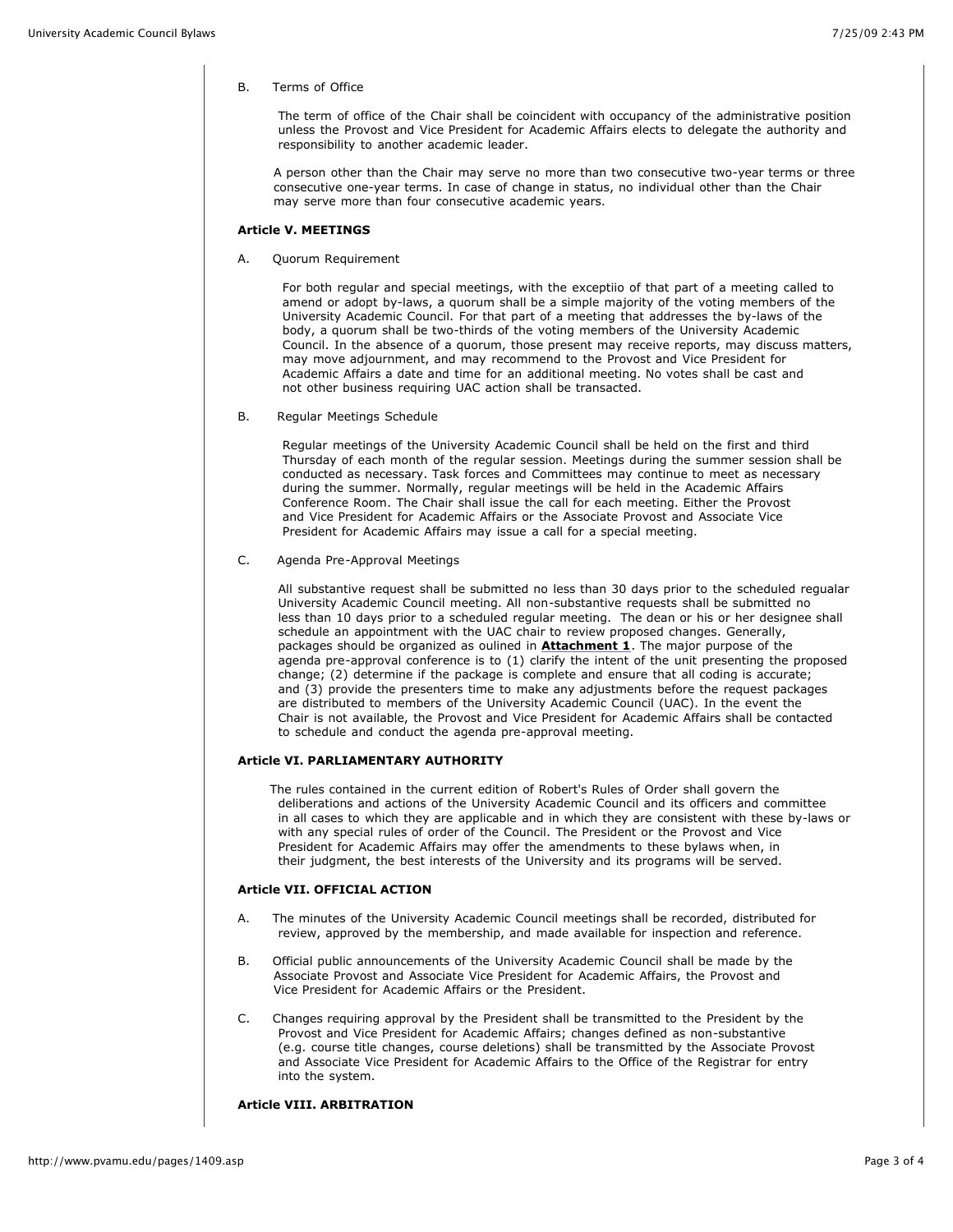### B. Terms of Office

 The term of office of the Chair shall be coincident with occupancy of the administrative position unless the Provost and Vice President for Academic Affairs elects to delegate the authority and responsibility to another academic leader.

 A person other than the Chair may serve no more than two consecutive two-year terms or three consecutive one-year terms. In case of change in status, no individual other than the Chair may serve more than four consecutive academic years.

# **Article V. MEETINGS**

A. Quorum Requirement

 For both regular and special meetings, with the exceptiio of that part of a meeting called to amend or adopt by-laws, a quorum shall be a simple majority of the voting members of the University Academic Council. For that part of a meeting that addresses the by-laws of the body, a quorum shall be two-thirds of the voting members of the University Academic Council. In the absence of a quorum, those present may receive reports, may discuss matters, may move adjournment, and may recommend to the Provost and Vice President for Academic Affairs a date and time for an additional meeting. No votes shall be cast and not other business requiring UAC action shall be transacted.

#### B. Regular Meetings Schedule

 Regular meetings of the University Academic Council shall be held on the first and third Thursday of each month of the regular session. Meetings during the summer session shall be conducted as necessary. Task forces and Committees may continue to meet as necessary during the summer. Normally, regular meetings will be held in the Academic Affairs Conference Room. The Chair shall issue the call for each meeting. Either the Provost and Vice President for Academic Affairs or the Associate Provost and Associate Vice President for Academic Affairs may issue a call for a special meeting.

### C. Agenda Pre-Approval Meetings

 All substantive request shall be submitted no less than 30 days prior to the scheduled regualar University Academic Council meeting. All non-substantive requests shall be submitted no less than 10 days prior to a scheduled regular meeting. The dean or his or her designee shall schedule an appointment with the UAC chair to review proposed changes. Generally, packages should be organized as oulined in **[Attachment 1](http://vpfa.pvamu.edu/procedures/8011att1.html)**. The major purpose of the agenda pre-approval conference is to (1) clarify the intent of the unit presenting the proposed change; (2) determine if the package is complete and ensure that all coding is accurate; and (3) provide the presenters time to make any adjustments before the request packages are distributed to members of the University Academic Council (UAC). In the event the Chair is not available, the Provost and Vice President for Academic Affairs shall be contacted to schedule and conduct the agenda pre-approval meeting.

# **Article VI. PARLIAMENTARY AUTHORITY**

The rules contained in the current edition of Robert's Rules of Order shall govern the deliberations and actions of the University Academic Council and its officers and committee in all cases to which they are applicable and in which they are consistent with these by-laws or with any special rules of order of the Council. The President or the Provost and Vice President for Academic Affairs may offer the amendments to these bylaws when, in their judgment, the best interests of the University and its programs will be served.

# **Article VII. OFFICIAL ACTION**

- A. The minutes of the University Academic Council meetings shall be recorded, distributed for review, approved by the membership, and made available for inspection and reference.
- B. Official public announcements of the University Academic Council shall be made by the Associate Provost and Associate Vice President for Academic Affairs, the Provost and Vice President for Academic Affairs or the President.
- C. Changes requiring approval by the President shall be transmitted to the President by the Provost and Vice President for Academic Affairs; changes defined as non-substantive (e.g. course title changes, course deletions) shall be transmitted by the Associate Provost and Associate Vice President for Academic Affairs to the Office of the Registrar for entry into the system.

### **Article VIII. ARBITRATION**